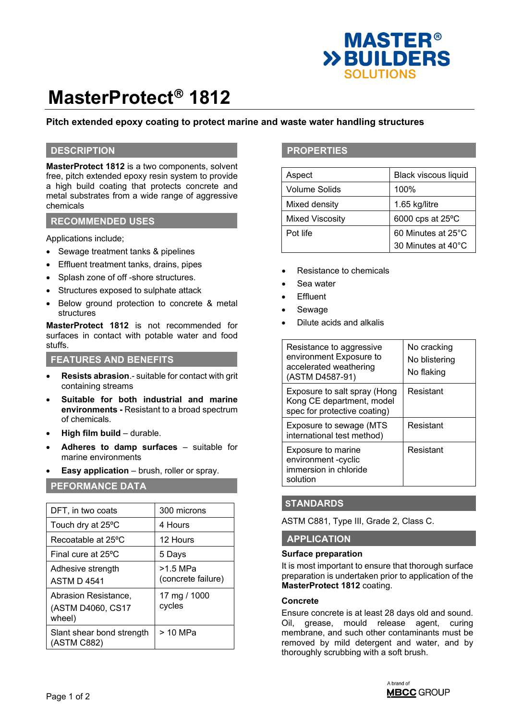

# **MasterProtect<sup>®</sup> 1812**

# **Pitch extended epoxy coating to protect marine and waste water handling structures**

## **DESCRIPTION**

**MasterProtect 1812** is a two components, solvent free, pitch extended epoxy resin system to provide a high build coating that protects concrete and metal substrates from a wide range of aggressive chemicals

## **RECOMMENDED USES**

Applications include;

- Sewage treatment tanks & pipelines
- Effluent treatment tanks, drains, pipes
- Splash zone of off -shore structures.
- Structures exposed to sulphate attack
- Below ground protection to concrete & metal structures

**MasterProtect 1812** is not recommended for surfaces in contact with potable water and food stuffs.

## **FEATURES AND BENEFITS**

- **Resists abrasion**.- suitable for contact with grit containing streams
- **Suitable for both industrial and marine environments -** Resistant to a broad spectrum of chemicals.
- **High film build** durable.
- **Adheres to damp surfaces** suitable for marine environments
- **Easy application** brush, roller or spray.

## **PEFORMANCE DATA**

| DFT, in two coats                                   | 300 microns                    |
|-----------------------------------------------------|--------------------------------|
| Touch dry at 25°C                                   | 4 Hours                        |
| Recoatable at 25 °C                                 | 12 Hours                       |
| Final cure at $25^{\circ}$ C                        | 5 Days                         |
| Adhesive strength<br><b>ASTM D 4541</b>             | >1.5 MPa<br>(concrete failure) |
| Abrasion Resistance,<br>(ASTM D4060, CS17<br>wheel) | 17 mg / 1000<br>cycles         |
| Slant shear bond strength<br>(ASTM C882)            | > 10 MPa                       |

## **PROPERTIES**

| Aspect                 | Black viscous liquid |  |
|------------------------|----------------------|--|
| Volume Solids          | 100%                 |  |
| Mixed density          | 1.65 kg/litre        |  |
| <b>Mixed Viscosity</b> | 6000 cps at 25°C     |  |
| Pot life               | 60 Minutes at 25°C   |  |
|                        | 30 Minutes at 40°C   |  |

- Resistance to chemicals
- Sea water
- **Effluent**
- **Sewage**
- Dilute acids and alkalis

| Resistance to aggressive<br>environment Exposure to<br>accelerated weathering<br>(ASTM D4587-91) | No cracking<br>No blistering<br>No flaking |
|--------------------------------------------------------------------------------------------------|--------------------------------------------|
| Exposure to salt spray (Hong<br>Kong CE department, model<br>spec for protective coating)        | Resistant                                  |
| Exposure to sewage (MTS<br>international test method)                                            | Resistant                                  |
| Exposure to marine<br>environment -cyclic<br>immersion in chloride<br>solution                   | Resistant                                  |

## **STANDARDS**

ASTM C881, Type III, Grade 2, Class C.

## **APPLICATION**

#### **Surface preparation**

It is most important to ensure that thorough surface preparation is undertaken prior to application of the **MasterProtect 1812** coating.

#### **Concrete**

Ensure concrete is at least 28 days old and sound. Oil, grease, mould release agent, curing membrane, and such other contaminants must be removed by mild detergent and water, and by thoroughly scrubbing with a soft brush.